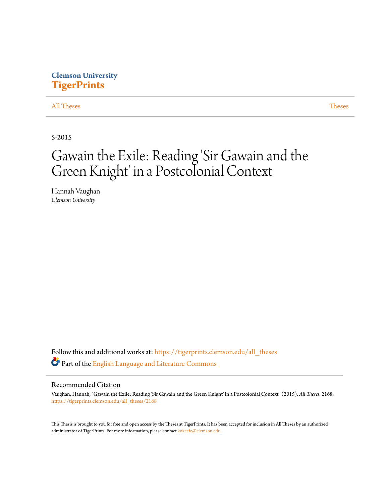# **Clemson University [TigerPrints](https://tigerprints.clemson.edu?utm_source=tigerprints.clemson.edu%2Fall_theses%2F2168&utm_medium=PDF&utm_campaign=PDFCoverPages)**

[All Theses](https://tigerprints.clemson.edu/all_theses?utm_source=tigerprints.clemson.edu%2Fall_theses%2F2168&utm_medium=PDF&utm_campaign=PDFCoverPages) **[Theses](https://tigerprints.clemson.edu/theses?utm_source=tigerprints.clemson.edu%2Fall_theses%2F2168&utm_medium=PDF&utm_campaign=PDFCoverPages)** 

5-2015

# Gawain the Exile: Reading 'Sir Gawain and the Green Knight' in a Postcolonial Context

Hannah Vaughan *Clemson University*

Follow this and additional works at: [https://tigerprints.clemson.edu/all\\_theses](https://tigerprints.clemson.edu/all_theses?utm_source=tigerprints.clemson.edu%2Fall_theses%2F2168&utm_medium=PDF&utm_campaign=PDFCoverPages) Part of the **[English Language and Literature Commons](http://network.bepress.com/hgg/discipline/455?utm_source=tigerprints.clemson.edu%2Fall_theses%2F2168&utm_medium=PDF&utm_campaign=PDFCoverPages)** 

#### Recommended Citation

Vaughan, Hannah, "Gawain the Exile: Reading 'Sir Gawain and the Green Knight' in a Postcolonial Context" (2015). *All Theses*. 2168. [https://tigerprints.clemson.edu/all\\_theses/2168](https://tigerprints.clemson.edu/all_theses/2168?utm_source=tigerprints.clemson.edu%2Fall_theses%2F2168&utm_medium=PDF&utm_campaign=PDFCoverPages)

This Thesis is brought to you for free and open access by the Theses at TigerPrints. It has been accepted for inclusion in All Theses by an authorized administrator of TigerPrints. For more information, please contact [kokeefe@clemson.edu](mailto:kokeefe@clemson.edu).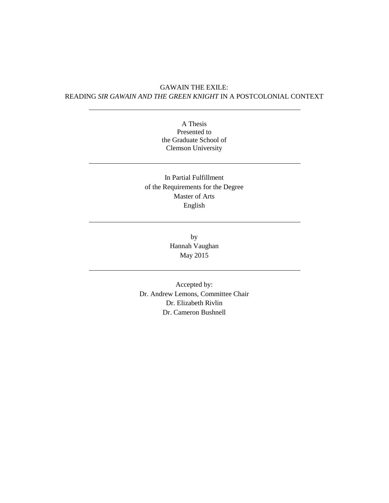### GAWAIN THE EXILE: READING *SIR GAWAIN AND THE GREEN KNIGHT* IN A POSTCOLONIAL CONTEXT

A Thesis Presented to the Graduate School of Clemson University

## In Partial Fulfillment of the Requirements for the Degree Master of Arts English

by Hannah Vaughan May 2015

Accepted by: Dr. Andrew Lemons, Committee Chair Dr. Elizabeth Rivlin Dr. Cameron Bushnell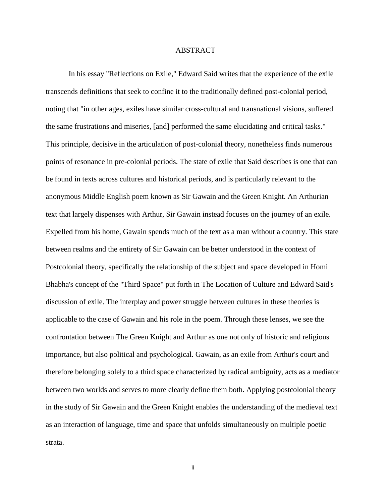#### ABSTRACT

In his essay "Reflections on Exile," Edward Said writes that the experience of the exile transcends definitions that seek to confine it to the traditionally defined post-colonial period, noting that "in other ages, exiles have similar cross-cultural and transnational visions, suffered the same frustrations and miseries, [and] performed the same elucidating and critical tasks." This principle, decisive in the articulation of post-colonial theory, nonetheless finds numerous points of resonance in pre-colonial periods. The state of exile that Said describes is one that can be found in texts across cultures and historical periods, and is particularly relevant to the anonymous Middle English poem known as Sir Gawain and the Green Knight. An Arthurian text that largely dispenses with Arthur, Sir Gawain instead focuses on the journey of an exile. Expelled from his home, Gawain spends much of the text as a man without a country. This state between realms and the entirety of Sir Gawain can be better understood in the context of Postcolonial theory, specifically the relationship of the subject and space developed in Homi Bhabha's concept of the "Third Space" put forth in The Location of Culture and Edward Said's discussion of exile. The interplay and power struggle between cultures in these theories is applicable to the case of Gawain and his role in the poem. Through these lenses, we see the confrontation between The Green Knight and Arthur as one not only of historic and religious importance, but also political and psychological. Gawain, as an exile from Arthur's court and therefore belonging solely to a third space characterized by radical ambiguity, acts as a mediator between two worlds and serves to more clearly define them both. Applying postcolonial theory in the study of Sir Gawain and the Green Knight enables the understanding of the medieval text as an interaction of language, time and space that unfolds simultaneously on multiple poetic strata.

ii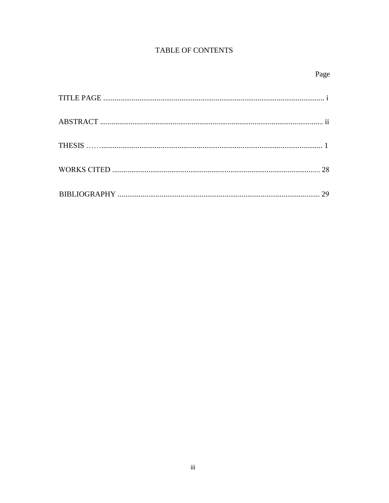# TABLE OF CONTENTS

| ۰. |
|----|
|----|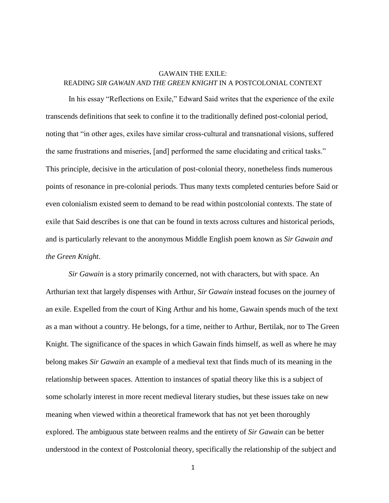## GAWAIN THE EXILE: READING *SIR GAWAIN AND THE GREEN KNIGHT* IN A POSTCOLONIAL CONTEXT

In his essay "Reflections on Exile," Edward Said writes that the experience of the exile transcends definitions that seek to confine it to the traditionally defined post-colonial period, noting that "in other ages, exiles have similar cross-cultural and transnational visions, suffered the same frustrations and miseries, [and] performed the same elucidating and critical tasks." This principle, decisive in the articulation of post-colonial theory, nonetheless finds numerous points of resonance in pre-colonial periods. Thus many texts completed centuries before Said or even colonialism existed seem to demand to be read within postcolonial contexts. The state of exile that Said describes is one that can be found in texts across cultures and historical periods, and is particularly relevant to the anonymous Middle English poem known as *Sir Gawain and the Green Knight*.

*Sir Gawain* is a story primarily concerned, not with characters, but with space. An Arthurian text that largely dispenses with Arthur, *Sir Gawain* instead focuses on the journey of an exile. Expelled from the court of King Arthur and his home, Gawain spends much of the text as a man without a country. He belongs, for a time, neither to Arthur, Bertilak, nor to The Green Knight. The significance of the spaces in which Gawain finds himself, as well as where he may belong makes *Sir Gawain* an example of a medieval text that finds much of its meaning in the relationship between spaces. Attention to instances of spatial theory like this is a subject of some scholarly interest in more recent medieval literary studies, but these issues take on new meaning when viewed within a theoretical framework that has not yet been thoroughly explored. The ambiguous state between realms and the entirety of *Sir Gawain* can be better understood in the context of Postcolonial theory, specifically the relationship of the subject and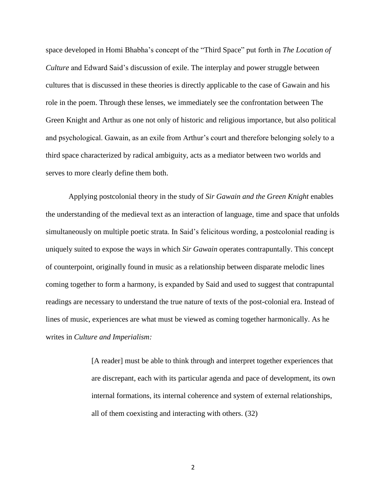space developed in Homi Bhabha's concept of the "Third Space" put forth in *The Location of Culture* and Edward Said's discussion of exile. The interplay and power struggle between cultures that is discussed in these theories is directly applicable to the case of Gawain and his role in the poem. Through these lenses, we immediately see the confrontation between The Green Knight and Arthur as one not only of historic and religious importance, but also political and psychological. Gawain, as an exile from Arthur's court and therefore belonging solely to a third space characterized by radical ambiguity, acts as a mediator between two worlds and serves to more clearly define them both.

Applying postcolonial theory in the study of *Sir Gawain and the Green Knight* enables the understanding of the medieval text as an interaction of language, time and space that unfolds simultaneously on multiple poetic strata. In Said's felicitous wording, a postcolonial reading is uniquely suited to expose the ways in which *Sir Gawain* operates contrapuntally. This concept of counterpoint, originally found in music as a relationship between disparate melodic lines coming together to form a harmony, is expanded by Said and used to suggest that contrapuntal readings are necessary to understand the true nature of texts of the post-colonial era. Instead of lines of music, experiences are what must be viewed as coming together harmonically. As he writes in *Culture and Imperialism:*

> [A reader] must be able to think through and interpret together experiences that are discrepant, each with its particular agenda and pace of development, its own internal formations, its internal coherence and system of external relationships, all of them coexisting and interacting with others. (32)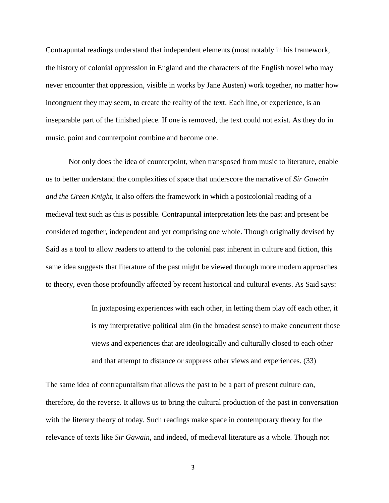Contrapuntal readings understand that independent elements (most notably in his framework, the history of colonial oppression in England and the characters of the English novel who may never encounter that oppression, visible in works by Jane Austen) work together, no matter how incongruent they may seem, to create the reality of the text. Each line, or experience, is an inseparable part of the finished piece. If one is removed, the text could not exist. As they do in music, point and counterpoint combine and become one.

Not only does the idea of counterpoint, when transposed from music to literature, enable us to better understand the complexities of space that underscore the narrative of *Sir Gawain and the Green Knight*, it also offers the framework in which a postcolonial reading of a medieval text such as this is possible. Contrapuntal interpretation lets the past and present be considered together, independent and yet comprising one whole. Though originally devised by Said as a tool to allow readers to attend to the colonial past inherent in culture and fiction, this same idea suggests that literature of the past might be viewed through more modern approaches to theory, even those profoundly affected by recent historical and cultural events. As Said says:

> In juxtaposing experiences with each other, in letting them play off each other, it is my interpretative political aim (in the broadest sense) to make concurrent those views and experiences that are ideologically and culturally closed to each other and that attempt to distance or suppress other views and experiences. (33)

The same idea of contrapuntalism that allows the past to be a part of present culture can, therefore, do the reverse. It allows us to bring the cultural production of the past in conversation with the literary theory of today. Such readings make space in contemporary theory for the relevance of texts like *Sir Gawain*, and indeed, of medieval literature as a whole. Though not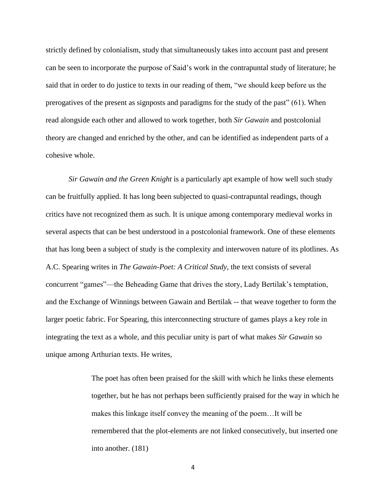strictly defined by colonialism, study that simultaneously takes into account past and present can be seen to incorporate the purpose of Said's work in the contrapuntal study of literature; he said that in order to do justice to texts in our reading of them, "we should keep before us the prerogatives of the present as signposts and paradigms for the study of the past" (61). When read alongside each other and allowed to work together, both *Sir Gawain* and postcolonial theory are changed and enriched by the other, and can be identified as independent parts of a cohesive whole.

*Sir Gawain and the Green Knight* is a particularly apt example of how well such study can be fruitfully applied. It has long been subjected to quasi-contrapuntal readings, though critics have not recognized them as such. It is unique among contemporary medieval works in several aspects that can be best understood in a postcolonial framework. One of these elements that has long been a subject of study is the complexity and interwoven nature of its plotlines. As A.C. Spearing writes in *The Gawain-Poet: A Critical Study,* the text consists of several concurrent "games"—the Beheading Game that drives the story, Lady Bertilak's temptation, and the Exchange of Winnings between Gawain and Bertilak -- that weave together to form the larger poetic fabric. For Spearing, this interconnecting structure of games plays a key role in integrating the text as a whole, and this peculiar unity is part of what makes *Sir Gawain* so unique among Arthurian texts. He writes,

> The poet has often been praised for the skill with which he links these elements together, but he has not perhaps been sufficiently praised for the way in which he makes this linkage itself convey the meaning of the poem…It will be remembered that the plot-elements are not linked consecutively, but inserted one into another. (181)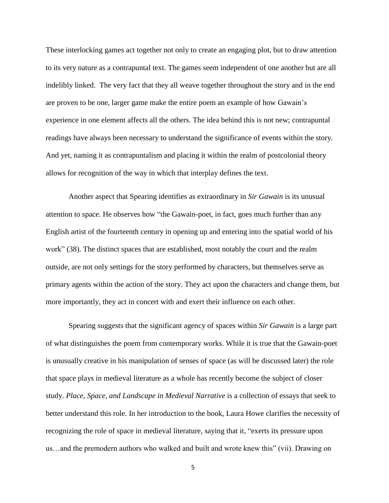These interlocking games act together not only to create an engaging plot, but to draw attention to its very nature as a contrapuntal text. The games seem independent of one another but are all indelibly linked. The very fact that they all weave together throughout the story and in the end are proven to be one, larger game make the entire poem an example of how Gawain's experience in one element affects all the others. The idea behind this is not new; contrapuntal readings have always been necessary to understand the significance of events within the story. And yet, naming it as contrapuntalism and placing it within the realm of postcolonial theory allows for recognition of the way in which that interplay defines the text.

Another aspect that Spearing identifies as extraordinary in *Sir Gawain* is its unusual attention to space. He observes how "the Gawain-poet, in fact, goes much further than any English artist of the fourteenth century in opening up and entering into the spatial world of his work" (38). The distinct spaces that are established, most notably the court and the realm outside, are not only settings for the story performed by characters, but themselves serve as primary agents within the action of the story. They act upon the characters and change them, but more importantly, they act in concert with and exert their influence on each other.

Spearing suggests that the significant agency of spaces within *Sir Gawain* is a large part of what distinguishes the poem from contemporary works. While it is true that the Gawain-poet is unusually creative in his manipulation of senses of space (as will be discussed later) the role that space plays in medieval literature as a whole has recently become the subject of closer study. *Place, Space, and Landscape in Medieval Narrative* is a collection of essays that seek to better understand this role. In her introduction to the book, Laura Howe clarifies the necessity of recognizing the role of space in medieval literature, saying that it, "exerts its pressure upon us…and the premodern authors who walked and built and wrote knew this" (vii). Drawing on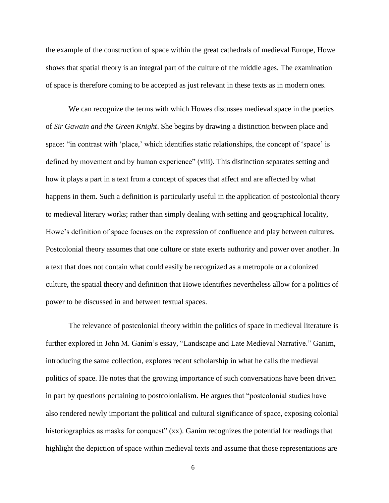the example of the construction of space within the great cathedrals of medieval Europe, Howe shows that spatial theory is an integral part of the culture of the middle ages. The examination of space is therefore coming to be accepted as just relevant in these texts as in modern ones.

We can recognize the terms with which Howes discusses medieval space in the poetics of *Sir Gawain and the Green Knight*. She begins by drawing a distinction between place and space: "in contrast with 'place,' which identifies static relationships, the concept of 'space' is defined by movement and by human experience" (viii). This distinction separates setting and how it plays a part in a text from a concept of spaces that affect and are affected by what happens in them. Such a definition is particularly useful in the application of postcolonial theory to medieval literary works; rather than simply dealing with setting and geographical locality, Howe's definition of space focuses on the expression of confluence and play between cultures. Postcolonial theory assumes that one culture or state exerts authority and power over another. In a text that does not contain what could easily be recognized as a metropole or a colonized culture, the spatial theory and definition that Howe identifies nevertheless allow for a politics of power to be discussed in and between textual spaces.

The relevance of postcolonial theory within the politics of space in medieval literature is further explored in John M. Ganim's essay, "Landscape and Late Medieval Narrative." Ganim, introducing the same collection, explores recent scholarship in what he calls the medieval politics of space. He notes that the growing importance of such conversations have been driven in part by questions pertaining to postcolonialism. He argues that "postcolonial studies have also rendered newly important the political and cultural significance of space, exposing colonial historiographies as masks for conquest" (xx). Ganim recognizes the potential for readings that highlight the depiction of space within medieval texts and assume that those representations are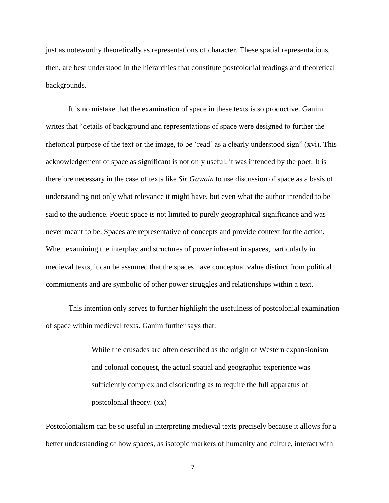just as noteworthy theoretically as representations of character. These spatial representations, then, are best understood in the hierarchies that constitute postcolonial readings and theoretical backgrounds.

It is no mistake that the examination of space in these texts is so productive. Ganim writes that "details of background and representations of space were designed to further the rhetorical purpose of the text or the image, to be 'read' as a clearly understood sign" (xvi). This acknowledgement of space as significant is not only useful, it was intended by the poet. It is therefore necessary in the case of texts like *Sir Gawain* to use discussion of space as a basis of understanding not only what relevance it might have, but even what the author intended to be said to the audience. Poetic space is not limited to purely geographical significance and was never meant to be. Spaces are representative of concepts and provide context for the action. When examining the interplay and structures of power inherent in spaces, particularly in medieval texts, it can be assumed that the spaces have conceptual value distinct from political commitments and are symbolic of other power struggles and relationships within a text.

This intention only serves to further highlight the usefulness of postcolonial examination of space within medieval texts. Ganim further says that:

> While the crusades are often described as the origin of Western expansionism and colonial conquest, the actual spatial and geographic experience was sufficiently complex and disorienting as to require the full apparatus of postcolonial theory. (xx)

Postcolonialism can be so useful in interpreting medieval texts precisely because it allows for a better understanding of how spaces, as isotopic markers of humanity and culture, interact with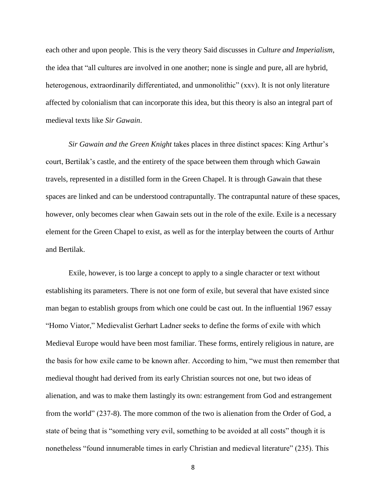each other and upon people. This is the very theory Said discusses in *Culture and Imperialism*, the idea that "all cultures are involved in one another; none is single and pure, all are hybrid, heterogenous, extraordinarily differentiated, and unmonolithic" (xxv). It is not only literature affected by colonialism that can incorporate this idea, but this theory is also an integral part of medieval texts like *Sir Gawain*.

*Sir Gawain and the Green Knight* takes places in three distinct spaces: King Arthur's court, Bertilak's castle, and the entirety of the space between them through which Gawain travels, represented in a distilled form in the Green Chapel. It is through Gawain that these spaces are linked and can be understood contrapuntally. The contrapuntal nature of these spaces, however, only becomes clear when Gawain sets out in the role of the exile. Exile is a necessary element for the Green Chapel to exist, as well as for the interplay between the courts of Arthur and Bertilak.

Exile, however, is too large a concept to apply to a single character or text without establishing its parameters. There is not one form of exile, but several that have existed since man began to establish groups from which one could be cast out. In the influential 1967 essay "Homo Viator," Medievalist Gerhart Ladner seeks to define the forms of exile with which Medieval Europe would have been most familiar. These forms, entirely religious in nature, are the basis for how exile came to be known after. According to him, "we must then remember that medieval thought had derived from its early Christian sources not one, but two ideas of alienation, and was to make them lastingly its own: estrangement from God and estrangement from the world" (237-8). The more common of the two is alienation from the Order of God, a state of being that is "something very evil, something to be avoided at all costs" though it is nonetheless "found innumerable times in early Christian and medieval literature" (235). This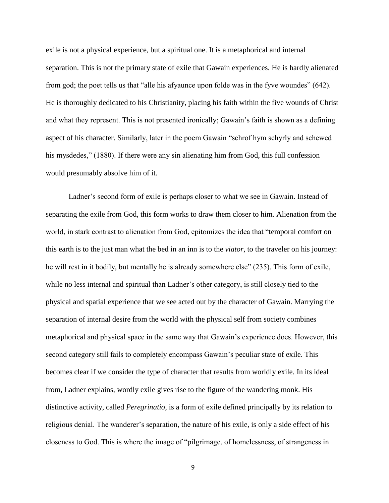exile is not a physical experience, but a spiritual one. It is a metaphorical and internal separation. This is not the primary state of exile that Gawain experiences. He is hardly alienated from god; the poet tells us that "alle his afyaunce upon folde was in the fyve woundes" (642). He is thoroughly dedicated to his Christianity, placing his faith within the five wounds of Christ and what they represent. This is not presented ironically; Gawain's faith is shown as a defining aspect of his character. Similarly, later in the poem Gawain "schrof hym schyrly and schewed his mysdedes," (1880). If there were any sin alienating him from God, this full confession would presumably absolve him of it.

Ladner's second form of exile is perhaps closer to what we see in Gawain. Instead of separating the exile from God, this form works to draw them closer to him. Alienation from the world, in stark contrast to alienation from God, epitomizes the idea that "temporal comfort on this earth is to the just man what the bed in an inn is to the *viator*, to the traveler on his journey: he will rest in it bodily, but mentally he is already somewhere else" (235). This form of exile, while no less internal and spiritual than Ladner's other category, is still closely tied to the physical and spatial experience that we see acted out by the character of Gawain. Marrying the separation of internal desire from the world with the physical self from society combines metaphorical and physical space in the same way that Gawain's experience does. However, this second category still fails to completely encompass Gawain's peculiar state of exile. This becomes clear if we consider the type of character that results from worldly exile. In its ideal from, Ladner explains, wordly exile gives rise to the figure of the wandering monk. His distinctive activity, called *Peregrinatio*, is a form of exile defined principally by its relation to religious denial. The wanderer's separation, the nature of his exile, is only a side effect of his closeness to God. This is where the image of "pilgrimage, of homelessness, of strangeness in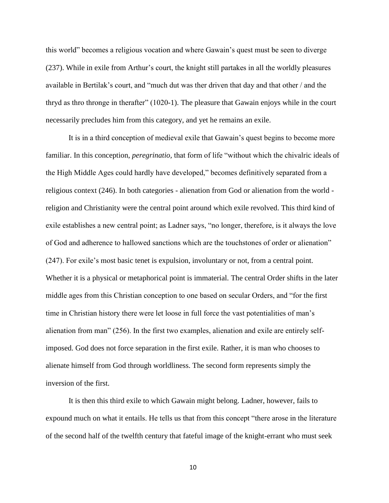this world" becomes a religious vocation and where Gawain's quest must be seen to diverge (237). While in exile from Arthur's court, the knight still partakes in all the worldly pleasures available in Bertilak's court, and "much dut was ther driven that day and that other / and the thryd as thro thronge in therafter" (1020-1). The pleasure that Gawain enjoys while in the court necessarily precludes him from this category, and yet he remains an exile.

It is in a third conception of medieval exile that Gawain's quest begins to become more familiar. In this conception, *peregrinatio,* that form of life "without which the chivalric ideals of the High Middle Ages could hardly have developed," becomes definitively separated from a religious context (246). In both categories - alienation from God or alienation from the world religion and Christianity were the central point around which exile revolved. This third kind of exile establishes a new central point; as Ladner says, "no longer, therefore, is it always the love of God and adherence to hallowed sanctions which are the touchstones of order or alienation" (247). For exile's most basic tenet is expulsion, involuntary or not, from a central point. Whether it is a physical or metaphorical point is immaterial. The central Order shifts in the later middle ages from this Christian conception to one based on secular Orders, and "for the first time in Christian history there were let loose in full force the vast potentialities of man's alienation from man" (256). In the first two examples, alienation and exile are entirely selfimposed. God does not force separation in the first exile. Rather, it is man who chooses to alienate himself from God through worldliness. The second form represents simply the inversion of the first.

It is then this third exile to which Gawain might belong. Ladner, however, fails to expound much on what it entails. He tells us that from this concept "there arose in the literature of the second half of the twelfth century that fateful image of the knight-errant who must seek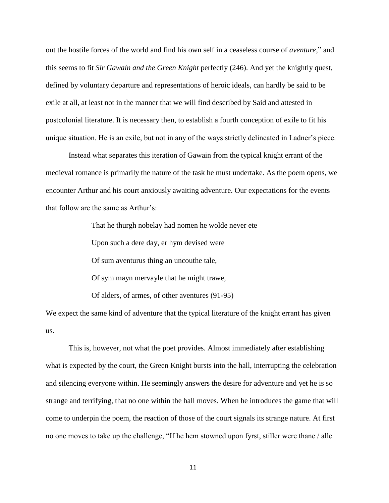out the hostile forces of the world and find his own self in a ceaseless course of *aventure,*" and this seems to fit *Sir Gawain and the Green Knight* perfectly (246). And yet the knightly quest, defined by voluntary departure and representations of heroic ideals, can hardly be said to be exile at all, at least not in the manner that we will find described by Said and attested in postcolonial literature. It is necessary then, to establish a fourth conception of exile to fit his unique situation. He is an exile, but not in any of the ways strictly delineated in Ladner's piece.

Instead what separates this iteration of Gawain from the typical knight errant of the medieval romance is primarily the nature of the task he must undertake. As the poem opens, we encounter Arthur and his court anxiously awaiting adventure. Our expectations for the events that follow are the same as Arthur's:

That he thurgh nobelay had nomen he wolde never ete

Upon such a dere day, er hym devised were

Of sum aventurus thing an uncouthe tale,

Of sym mayn mervayle that he might trawe,

Of alders, of armes, of other aventures (91-95)

We expect the same kind of adventure that the typical literature of the knight errant has given us.

This is, however, not what the poet provides. Almost immediately after establishing what is expected by the court, the Green Knight bursts into the hall, interrupting the celebration and silencing everyone within. He seemingly answers the desire for adventure and yet he is so strange and terrifying, that no one within the hall moves. When he introduces the game that will come to underpin the poem, the reaction of those of the court signals its strange nature. At first no one moves to take up the challenge, "If he hem stowned upon fyrst, stiller were thane / alle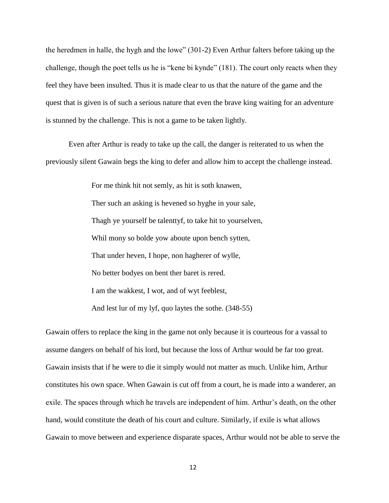the heredmen in halle, the hygh and the lowe" (301-2) Even Arthur falters before taking up the challenge, though the poet tells us he is "kene bi kynde" (181). The court only reacts when they feel they have been insulted. Thus it is made clear to us that the nature of the game and the quest that is given is of such a serious nature that even the brave king waiting for an adventure is stunned by the challenge. This is not a game to be taken lightly.

Even after Arthur is ready to take up the call, the danger is reiterated to us when the previously silent Gawain begs the king to defer and allow him to accept the challenge instead.

> For me think hit not semly, as hit is soth knawen, Ther such an asking is hevened so hyghe in your sale, Thagh ye yourself be talenttyf, to take hit to yourselven, Whil mony so bolde yow aboute upon bench sytten, That under heven, I hope, non hagherer of wylle, No better bodyes on bent ther baret is rered. I am the wakkest, I wot, and of wyt feeblest, And lest lur of my lyf, quo laytes the sothe. (348-55)

Gawain offers to replace the king in the game not only because it is courteous for a vassal to assume dangers on behalf of his lord, but because the loss of Arthur would be far too great. Gawain insists that if he were to die it simply would not matter as much. Unlike him, Arthur constitutes his own space. When Gawain is cut off from a court, he is made into a wanderer, an exile. The spaces through which he travels are independent of him. Arthur's death, on the other hand, would constitute the death of his court and culture. Similarly, if exile is what allows Gawain to move between and experience disparate spaces, Arthur would not be able to serve the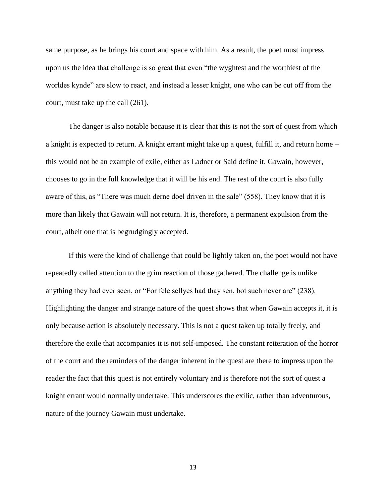same purpose, as he brings his court and space with him. As a result, the poet must impress upon us the idea that challenge is so great that even "the wyghtest and the worthiest of the worldes kynde" are slow to react, and instead a lesser knight, one who can be cut off from the court, must take up the call (261).

The danger is also notable because it is clear that this is not the sort of quest from which a knight is expected to return. A knight errant might take up a quest, fulfill it, and return home – this would not be an example of exile, either as Ladner or Said define it. Gawain, however, chooses to go in the full knowledge that it will be his end. The rest of the court is also fully aware of this, as "There was much derne doel driven in the sale" (558). They know that it is more than likely that Gawain will not return. It is, therefore, a permanent expulsion from the court, albeit one that is begrudgingly accepted.

If this were the kind of challenge that could be lightly taken on, the poet would not have repeatedly called attention to the grim reaction of those gathered. The challenge is unlike anything they had ever seen, or "For fele sellyes had thay sen, bot such never are" (238). Highlighting the danger and strange nature of the quest shows that when Gawain accepts it, it is only because action is absolutely necessary. This is not a quest taken up totally freely, and therefore the exile that accompanies it is not self-imposed. The constant reiteration of the horror of the court and the reminders of the danger inherent in the quest are there to impress upon the reader the fact that this quest is not entirely voluntary and is therefore not the sort of quest a knight errant would normally undertake. This underscores the exilic, rather than adventurous, nature of the journey Gawain must undertake.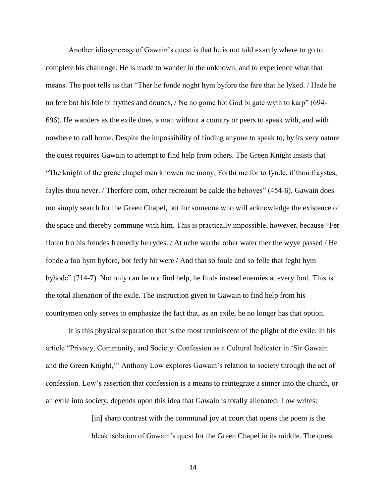Another idiosyncrasy of Gawain's quest is that he is not told exactly where to go to complete his challenge. He is made to wander in the unknown, and to experience what that means. The poet tells us that "Ther he fonde noght hym byfore the fare that he lyked. / Hade he no fere bot his fole bi frythes and dounes, / Ne no gome bot God bi gate wyth to karp" (694- 696). He wanders as the exile does, a man without a country or peers to speak with, and with nowhere to call home. Despite the impossibility of finding anyone to speak to, by its very nature the quest requires Gawain to attempt to find help from others. The Green Knight insists that "The knight of the grene chapel men knowen me mony; Forthi me for to fynde, if thou fraystes, fayles thou never. / Therfore com, other recreaunt be calde the behoves" (454-6). Gawain does not simply search for the Green Chapel, but for someone who will acknowledge the existence of the space and thereby commune with him. This is practically impossible, however, because "Fer floten fro his frendes fremedly he rydes. / At uche warthe other water ther the wyye passed / He fonde a foo hym byfore, bot ferly hit were / And that so foule and so felle that feght hym byhode" (714-7). Not only can he not find help, he finds instead enemies at every ford. This is the total alienation of the exile. The instruction given to Gawain to find help from his countrymen only serves to emphasize the fact that, as an exile, he no longer has that option.

It is this physical separation that is the most reminiscent of the plight of the exile. In his article "Privacy, Community, and Society: Confession as a Cultural Indicator in 'Sir Gawain and the Green Knight,'" Anthony Low explores Gawain's relation to society through the act of confession. Low's assertion that confession is a means to reintegrate a sinner into the church, or an exile into society, depends upon this idea that Gawain is totally alienated. Low writes:

> [in] sharp contrast with the communal joy at court that opens the poem is the bleak isolation of Gawain's quest for the Green Chapel in its middle. The quest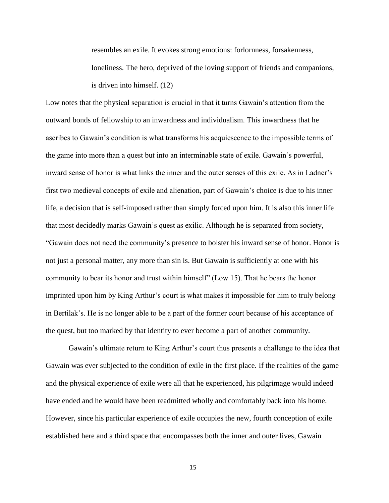resembles an exile. It evokes strong emotions: forlornness, forsakenness, loneliness. The hero, deprived of the loving support of friends and companions, is driven into himself. (12)

Low notes that the physical separation is crucial in that it turns Gawain's attention from the outward bonds of fellowship to an inwardness and individualism. This inwardness that he ascribes to Gawain's condition is what transforms his acquiescence to the impossible terms of the game into more than a quest but into an interminable state of exile. Gawain's powerful, inward sense of honor is what links the inner and the outer senses of this exile. As in Ladner's first two medieval concepts of exile and alienation, part of Gawain's choice is due to his inner life, a decision that is self-imposed rather than simply forced upon him. It is also this inner life that most decidedly marks Gawain's quest as exilic. Although he is separated from society, "Gawain does not need the community's presence to bolster his inward sense of honor. Honor is not just a personal matter, any more than sin is. But Gawain is sufficiently at one with his community to bear its honor and trust within himself" (Low 15). That he bears the honor imprinted upon him by King Arthur's court is what makes it impossible for him to truly belong in Bertilak's. He is no longer able to be a part of the former court because of his acceptance of the quest, but too marked by that identity to ever become a part of another community.

Gawain's ultimate return to King Arthur's court thus presents a challenge to the idea that Gawain was ever subjected to the condition of exile in the first place. If the realities of the game and the physical experience of exile were all that he experienced, his pilgrimage would indeed have ended and he would have been readmitted wholly and comfortably back into his home. However, since his particular experience of exile occupies the new, fourth conception of exile established here and a third space that encompasses both the inner and outer lives, Gawain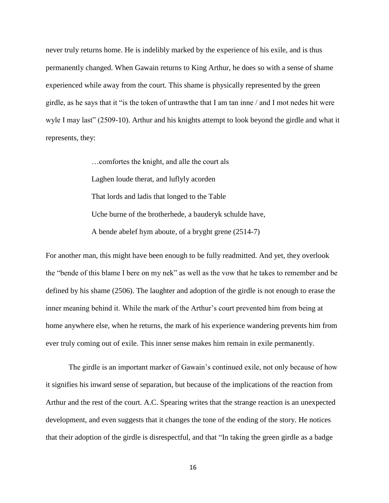never truly returns home. He is indelibly marked by the experience of his exile, and is thus permanently changed. When Gawain returns to King Arthur, he does so with a sense of shame experienced while away from the court. This shame is physically represented by the green girdle, as he says that it "is the token of untrawthe that I am tan inne / and I mot nedes hit were wyle I may last" (2509-10). Arthur and his knights attempt to look beyond the girdle and what it represents, they:

> …comfortes the knight, and alle the court als Laghen loude therat, and luflyly acorden That lords and ladis that longed to the Table Uche burne of the brotherhede, a bauderyk schulde have, A bende abelef hym aboute, of a bryght grene (2514-7)

For another man, this might have been enough to be fully readmitted. And yet, they overlook the "bende of this blame I bere on my nek" as well as the vow that he takes to remember and be defined by his shame (2506). The laughter and adoption of the girdle is not enough to erase the inner meaning behind it. While the mark of the Arthur's court prevented him from being at home anywhere else, when he returns, the mark of his experience wandering prevents him from ever truly coming out of exile. This inner sense makes him remain in exile permanently.

The girdle is an important marker of Gawain's continued exile, not only because of how it signifies his inward sense of separation, but because of the implications of the reaction from Arthur and the rest of the court. A.C. Spearing writes that the strange reaction is an unexpected development, and even suggests that it changes the tone of the ending of the story. He notices that their adoption of the girdle is disrespectful, and that "In taking the green girdle as a badge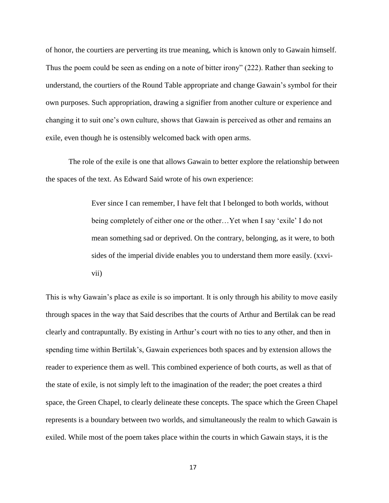of honor, the courtiers are perverting its true meaning, which is known only to Gawain himself. Thus the poem could be seen as ending on a note of bitter irony" (222). Rather than seeking to understand, the courtiers of the Round Table appropriate and change Gawain's symbol for their own purposes. Such appropriation, drawing a signifier from another culture or experience and changing it to suit one's own culture, shows that Gawain is perceived as other and remains an exile, even though he is ostensibly welcomed back with open arms.

The role of the exile is one that allows Gawain to better explore the relationship between the spaces of the text. As Edward Said wrote of his own experience:

> Ever since I can remember, I have felt that I belonged to both worlds, without being completely of either one or the other…Yet when I say 'exile' I do not mean something sad or deprived. On the contrary, belonging, as it were, to both sides of the imperial divide enables you to understand them more easily. (xxvivii)

This is why Gawain's place as exile is so important. It is only through his ability to move easily through spaces in the way that Said describes that the courts of Arthur and Bertilak can be read clearly and contrapuntally. By existing in Arthur's court with no ties to any other, and then in spending time within Bertilak's, Gawain experiences both spaces and by extension allows the reader to experience them as well. This combined experience of both courts, as well as that of the state of exile, is not simply left to the imagination of the reader; the poet creates a third space, the Green Chapel, to clearly delineate these concepts. The space which the Green Chapel represents is a boundary between two worlds, and simultaneously the realm to which Gawain is exiled. While most of the poem takes place within the courts in which Gawain stays, it is the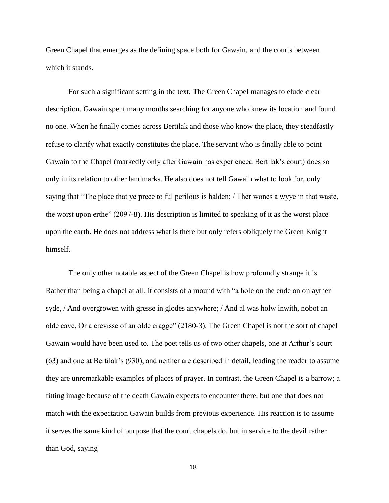Green Chapel that emerges as the defining space both for Gawain, and the courts between which it stands.

For such a significant setting in the text, The Green Chapel manages to elude clear description. Gawain spent many months searching for anyone who knew its location and found no one. When he finally comes across Bertilak and those who know the place, they steadfastly refuse to clarify what exactly constitutes the place. The servant who is finally able to point Gawain to the Chapel (markedly only after Gawain has experienced Bertilak's court) does so only in its relation to other landmarks. He also does not tell Gawain what to look for, only saying that "The place that ye prece to ful perilous is halden; / Ther wones a wyye in that waste, the worst upon erthe" (2097-8). His description is limited to speaking of it as the worst place upon the earth. He does not address what is there but only refers obliquely the Green Knight himself.

The only other notable aspect of the Green Chapel is how profoundly strange it is. Rather than being a chapel at all, it consists of a mound with "a hole on the ende on on ayther syde, / And overgrowen with gresse in glodes anywhere; / And al was holw inwith, nobot an olde cave, Or a crevisse of an olde cragge" (2180-3). The Green Chapel is not the sort of chapel Gawain would have been used to. The poet tells us of two other chapels, one at Arthur's court (63) and one at Bertilak's (930), and neither are described in detail, leading the reader to assume they are unremarkable examples of places of prayer. In contrast, the Green Chapel is a barrow; a fitting image because of the death Gawain expects to encounter there, but one that does not match with the expectation Gawain builds from previous experience. His reaction is to assume it serves the same kind of purpose that the court chapels do, but in service to the devil rather than God, saying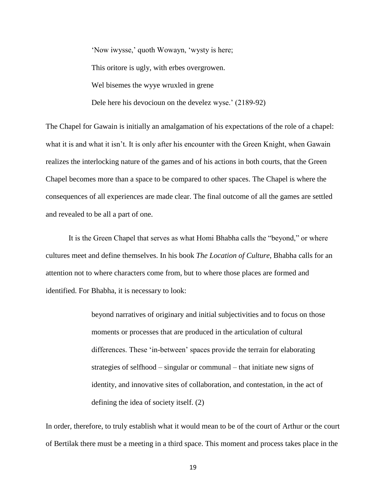'Now iwysse,' quoth Wowayn, 'wysty is here; This oritore is ugly, with erbes overgrowen. Wel bisemes the wyye wruxled in grene Dele here his devocioun on the develez wyse.' (2189-92)

The Chapel for Gawain is initially an amalgamation of his expectations of the role of a chapel: what it is and what it isn't. It is only after his encounter with the Green Knight, when Gawain realizes the interlocking nature of the games and of his actions in both courts, that the Green Chapel becomes more than a space to be compared to other spaces. The Chapel is where the consequences of all experiences are made clear. The final outcome of all the games are settled and revealed to be all a part of one.

It is the Green Chapel that serves as what Homi Bhabha calls the "beyond," or where cultures meet and define themselves. In his book *The Location of Culture,* Bhabha calls for an attention not to where characters come from, but to where those places are formed and identified. For Bhabha, it is necessary to look:

> beyond narratives of originary and initial subjectivities and to focus on those moments or processes that are produced in the articulation of cultural differences. These 'in-between' spaces provide the terrain for elaborating strategies of selfhood – singular or communal – that initiate new signs of identity, and innovative sites of collaboration, and contestation, in the act of defining the idea of society itself. (2)

In order, therefore, to truly establish what it would mean to be of the court of Arthur or the court of Bertilak there must be a meeting in a third space. This moment and process takes place in the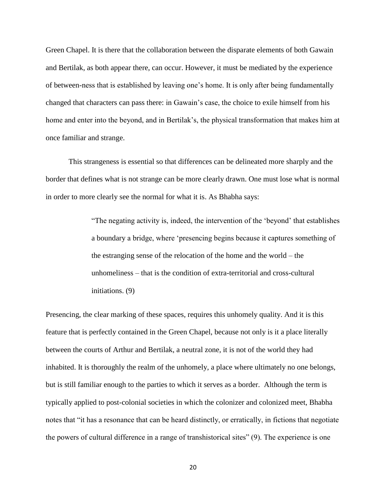Green Chapel. It is there that the collaboration between the disparate elements of both Gawain and Bertilak, as both appear there, can occur. However, it must be mediated by the experience of between-ness that is established by leaving one's home. It is only after being fundamentally changed that characters can pass there: in Gawain's case, the choice to exile himself from his home and enter into the beyond, and in Bertilak's, the physical transformation that makes him at once familiar and strange.

This strangeness is essential so that differences can be delineated more sharply and the border that defines what is not strange can be more clearly drawn. One must lose what is normal in order to more clearly see the normal for what it is. As Bhabha says:

> "The negating activity is, indeed, the intervention of the 'beyond' that establishes a boundary a bridge, where 'presencing begins because it captures something of the estranging sense of the relocation of the home and the world – the unhomeliness – that is the condition of extra-territorial and cross-cultural initiations. (9)

Presencing, the clear marking of these spaces, requires this unhomely quality. And it is this feature that is perfectly contained in the Green Chapel, because not only is it a place literally between the courts of Arthur and Bertilak, a neutral zone, it is not of the world they had inhabited. It is thoroughly the realm of the unhomely, a place where ultimately no one belongs, but is still familiar enough to the parties to which it serves as a border. Although the term is typically applied to post-colonial societies in which the colonizer and colonized meet, Bhabha notes that "it has a resonance that can be heard distinctly, or erratically, in fictions that negotiate the powers of cultural difference in a range of transhistorical sites" (9). The experience is one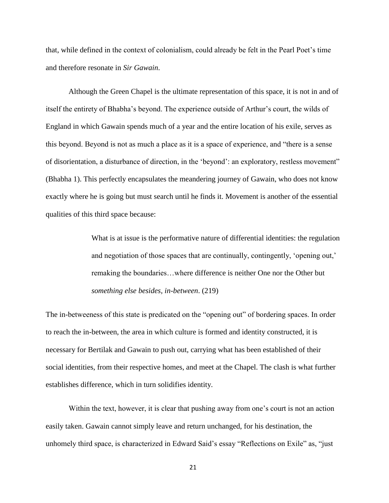that, while defined in the context of colonialism, could already be felt in the Pearl Poet's time and therefore resonate in *Sir Gawain*.

Although the Green Chapel is the ultimate representation of this space, it is not in and of itself the entirety of Bhabha's beyond. The experience outside of Arthur's court, the wilds of England in which Gawain spends much of a year and the entire location of his exile, serves as this beyond. Beyond is not as much a place as it is a space of experience, and "there is a sense of disorientation, a disturbance of direction, in the 'beyond': an exploratory, restless movement" (Bhabha 1). This perfectly encapsulates the meandering journey of Gawain, who does not know exactly where he is going but must search until he finds it. Movement is another of the essential qualities of this third space because:

> What is at issue is the performative nature of differential identities: the regulation and negotiation of those spaces that are continually, contingently, 'opening out,' remaking the boundaries…where difference is neither One nor the Other but *something else besides, in-between*. (219)

The in-betweeness of this state is predicated on the "opening out" of bordering spaces. In order to reach the in-between, the area in which culture is formed and identity constructed, it is necessary for Bertilak and Gawain to push out, carrying what has been established of their social identities, from their respective homes, and meet at the Chapel. The clash is what further establishes difference, which in turn solidifies identity.

Within the text, however, it is clear that pushing away from one's court is not an action easily taken. Gawain cannot simply leave and return unchanged, for his destination, the unhomely third space, is characterized in Edward Said's essay "Reflections on Exile" as, "just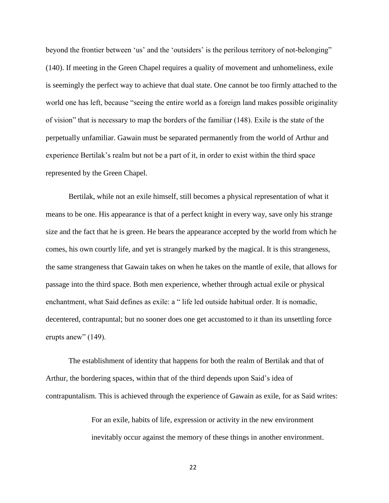beyond the frontier between 'us' and the 'outsiders' is the perilous territory of not-belonging" (140). If meeting in the Green Chapel requires a quality of movement and unhomeliness, exile is seemingly the perfect way to achieve that dual state. One cannot be too firmly attached to the world one has left, because "seeing the entire world as a foreign land makes possible originality of vision" that is necessary to map the borders of the familiar (148). Exile is the state of the perpetually unfamiliar. Gawain must be separated permanently from the world of Arthur and experience Bertilak's realm but not be a part of it, in order to exist within the third space represented by the Green Chapel.

Bertilak, while not an exile himself, still becomes a physical representation of what it means to be one. His appearance is that of a perfect knight in every way, save only his strange size and the fact that he is green. He bears the appearance accepted by the world from which he comes, his own courtly life, and yet is strangely marked by the magical. It is this strangeness, the same strangeness that Gawain takes on when he takes on the mantle of exile, that allows for passage into the third space. Both men experience, whether through actual exile or physical enchantment, what Said defines as exile: a " life led outside habitual order. It is nomadic, decentered, contrapuntal; but no sooner does one get accustomed to it than its unsettling force erupts anew" (149).

The establishment of identity that happens for both the realm of Bertilak and that of Arthur, the bordering spaces, within that of the third depends upon Said's idea of contrapuntalism. This is achieved through the experience of Gawain as exile, for as Said writes:

> For an exile, habits of life, expression or activity in the new environment inevitably occur against the memory of these things in another environment.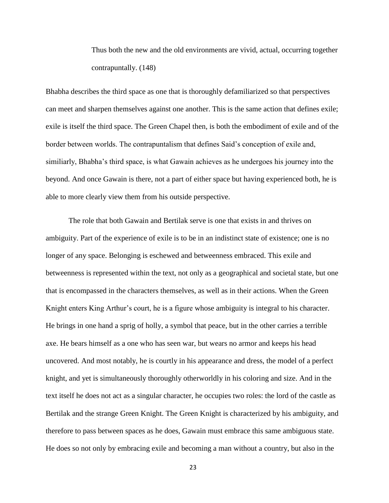Thus both the new and the old environments are vivid, actual, occurring together contrapuntally. (148)

Bhabha describes the third space as one that is thoroughly defamiliarized so that perspectives can meet and sharpen themselves against one another. This is the same action that defines exile; exile is itself the third space. The Green Chapel then, is both the embodiment of exile and of the border between worlds. The contrapuntalism that defines Said's conception of exile and, similiarly, Bhabha's third space, is what Gawain achieves as he undergoes his journey into the beyond. And once Gawain is there, not a part of either space but having experienced both, he is able to more clearly view them from his outside perspective.

The role that both Gawain and Bertilak serve is one that exists in and thrives on ambiguity. Part of the experience of exile is to be in an indistinct state of existence; one is no longer of any space. Belonging is eschewed and betweenness embraced. This exile and betweenness is represented within the text, not only as a geographical and societal state, but one that is encompassed in the characters themselves, as well as in their actions. When the Green Knight enters King Arthur's court, he is a figure whose ambiguity is integral to his character. He brings in one hand a sprig of holly, a symbol that peace, but in the other carries a terrible axe. He bears himself as a one who has seen war, but wears no armor and keeps his head uncovered. And most notably, he is courtly in his appearance and dress, the model of a perfect knight, and yet is simultaneously thoroughly otherworldly in his coloring and size. And in the text itself he does not act as a singular character, he occupies two roles: the lord of the castle as Bertilak and the strange Green Knight. The Green Knight is characterized by his ambiguity, and therefore to pass between spaces as he does, Gawain must embrace this same ambiguous state. He does so not only by embracing exile and becoming a man without a country, but also in the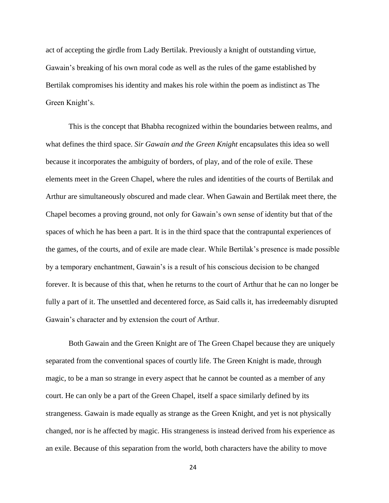act of accepting the girdle from Lady Bertilak. Previously a knight of outstanding virtue, Gawain's breaking of his own moral code as well as the rules of the game established by Bertilak compromises his identity and makes his role within the poem as indistinct as The Green Knight's.

This is the concept that Bhabha recognized within the boundaries between realms, and what defines the third space. *Sir Gawain and the Green Knight* encapsulates this idea so well because it incorporates the ambiguity of borders, of play, and of the role of exile. These elements meet in the Green Chapel, where the rules and identities of the courts of Bertilak and Arthur are simultaneously obscured and made clear. When Gawain and Bertilak meet there, the Chapel becomes a proving ground, not only for Gawain's own sense of identity but that of the spaces of which he has been a part. It is in the third space that the contrapuntal experiences of the games, of the courts, and of exile are made clear. While Bertilak's presence is made possible by a temporary enchantment, Gawain's is a result of his conscious decision to be changed forever. It is because of this that, when he returns to the court of Arthur that he can no longer be fully a part of it. The unsettled and decentered force, as Said calls it, has irredeemably disrupted Gawain's character and by extension the court of Arthur.

Both Gawain and the Green Knight are of The Green Chapel because they are uniquely separated from the conventional spaces of courtly life. The Green Knight is made, through magic, to be a man so strange in every aspect that he cannot be counted as a member of any court. He can only be a part of the Green Chapel, itself a space similarly defined by its strangeness. Gawain is made equally as strange as the Green Knight, and yet is not physically changed, nor is he affected by magic. His strangeness is instead derived from his experience as an exile. Because of this separation from the world, both characters have the ability to move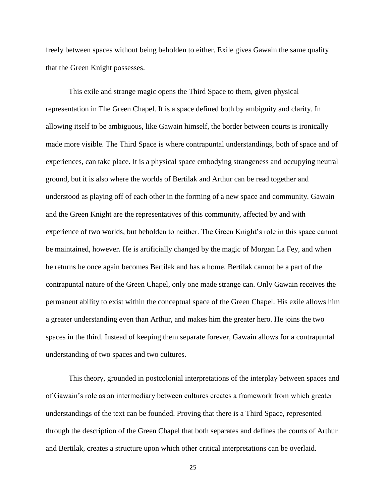freely between spaces without being beholden to either. Exile gives Gawain the same quality that the Green Knight possesses.

This exile and strange magic opens the Third Space to them, given physical representation in The Green Chapel. It is a space defined both by ambiguity and clarity. In allowing itself to be ambiguous, like Gawain himself, the border between courts is ironically made more visible. The Third Space is where contrapuntal understandings, both of space and of experiences, can take place. It is a physical space embodying strangeness and occupying neutral ground, but it is also where the worlds of Bertilak and Arthur can be read together and understood as playing off of each other in the forming of a new space and community. Gawain and the Green Knight are the representatives of this community, affected by and with experience of two worlds, but beholden to neither. The Green Knight's role in this space cannot be maintained, however. He is artificially changed by the magic of Morgan La Fey, and when he returns he once again becomes Bertilak and has a home. Bertilak cannot be a part of the contrapuntal nature of the Green Chapel, only one made strange can. Only Gawain receives the permanent ability to exist within the conceptual space of the Green Chapel. His exile allows him a greater understanding even than Arthur, and makes him the greater hero. He joins the two spaces in the third. Instead of keeping them separate forever, Gawain allows for a contrapuntal understanding of two spaces and two cultures.

This theory, grounded in postcolonial interpretations of the interplay between spaces and of Gawain's role as an intermediary between cultures creates a framework from which greater understandings of the text can be founded. Proving that there is a Third Space, represented through the description of the Green Chapel that both separates and defines the courts of Arthur and Bertilak, creates a structure upon which other critical interpretations can be overlaid.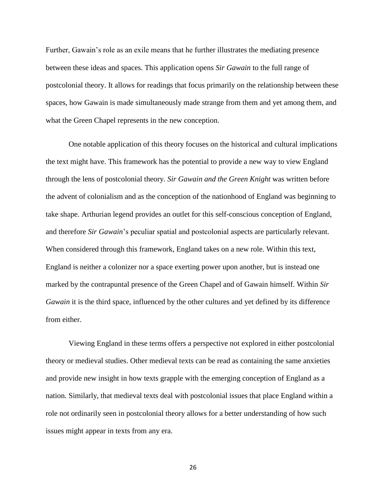Further, Gawain's role as an exile means that he further illustrates the mediating presence between these ideas and spaces. This application opens *Sir Gawain* to the full range of postcolonial theory. It allows for readings that focus primarily on the relationship between these spaces, how Gawain is made simultaneously made strange from them and yet among them, and what the Green Chapel represents in the new conception.

One notable application of this theory focuses on the historical and cultural implications the text might have. This framework has the potential to provide a new way to view England through the lens of postcolonial theory. *Sir Gawain and the Green Knight* was written before the advent of colonialism and as the conception of the nationhood of England was beginning to take shape. Arthurian legend provides an outlet for this self-conscious conception of England, and therefore *Sir Gawain*'s peculiar spatial and postcolonial aspects are particularly relevant. When considered through this framework, England takes on a new role. Within this text, England is neither a colonizer nor a space exerting power upon another, but is instead one marked by the contrapuntal presence of the Green Chapel and of Gawain himself. Within *Sir Gawain* it is the third space, influenced by the other cultures and yet defined by its difference from either.

Viewing England in these terms offers a perspective not explored in either postcolonial theory or medieval studies. Other medieval texts can be read as containing the same anxieties and provide new insight in how texts grapple with the emerging conception of England as a nation. Similarly, that medieval texts deal with postcolonial issues that place England within a role not ordinarily seen in postcolonial theory allows for a better understanding of how such issues might appear in texts from any era.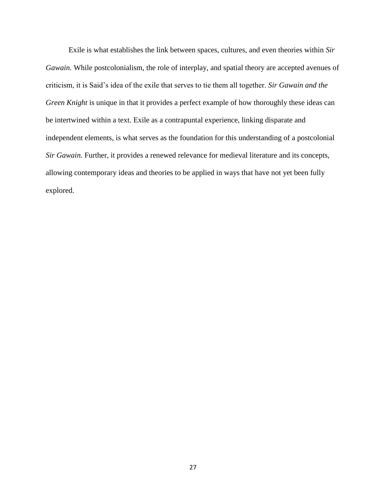Exile is what establishes the link between spaces, cultures, and even theories within *Sir Gawain.* While postcolonialism, the role of interplay, and spatial theory are accepted avenues of criticism, it is Said's idea of the exile that serves to tie them all together. *Sir Gawain and the Green Knight* is unique in that it provides a perfect example of how thoroughly these ideas can be intertwined within a text. Exile as a contrapuntal experience, linking disparate and independent elements, is what serves as the foundation for this understanding of a postcolonial *Sir Gawain.* Further, it provides a renewed relevance for medieval literature and its concepts, allowing contemporary ideas and theories to be applied in ways that have not yet been fully explored.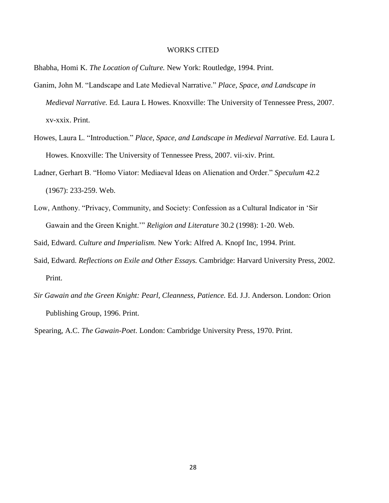#### WORKS CITED

Bhabha, Homi K. *The Location of Culture.* New York: Routledge, 1994. Print.

- Ganim, John M. "Landscape and Late Medieval Narrative." *Place, Space, and Landscape in Medieval Narrative.* Ed. Laura L Howes. Knoxville: The University of Tennessee Press, 2007. xv-xxix. Print.
- Howes, Laura L. "Introduction." *Place, Space, and Landscape in Medieval Narrative.* Ed. Laura L Howes. Knoxville: The University of Tennessee Press, 2007. vii-xiv. Print.
- Ladner, Gerhart B. "Homo Viator: Mediaeval Ideas on Alienation and Order." *Speculum* 42.2 (1967): 233-259. Web.
- Low, Anthony. "Privacy, Community, and Society: Confession as a Cultural Indicator in 'Sir Gawain and the Green Knight.'" *Religion and Literature* 30.2 (1998): 1-20. Web.

Said, Edward. *Culture and Imperialism.* New York: Alfred A. Knopf Inc, 1994. Print.

- Said, Edward. *Reflections on Exile and Other Essays.* Cambridge: Harvard University Press, 2002. Print.
- *Sir Gawain and the Green Knight: Pearl, Cleanness, Patience.* Ed. J.J. Anderson. London: Orion Publishing Group, 1996. Print.

Spearing, A.C. *The Gawain-Poet*. London: Cambridge University Press, 1970. Print.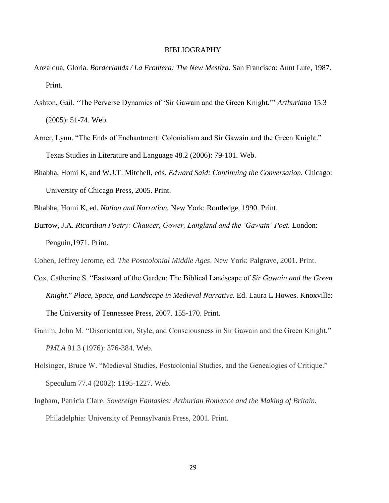#### BIBLIOGRAPHY

- Anzaldua, Gloria. *Borderlands / La Frontera: The New Mestiza.* San Francisco: Aunt Lute, 1987. Print.
- Ashton, Gail. "The Perverse Dynamics of 'Sir Gawain and the Green Knight.'" *Arthuriana* 15.3 (2005): 51-74. Web.
- Arner, Lynn. "The Ends of Enchantment: Colonialism and Sir Gawain and the Green Knight." Texas Studies in Literature and Language 48.2 (2006): 79-101. Web.
- Bhabha, Homi K, and W.J.T. Mitchell, eds. *Edward Said: Continuing the Conversation.* Chicago: University of Chicago Press, 2005. Print.

Bhabha, Homi K, ed. *Nation and Narration.* New York: Routledge, 1990. Print.

Burrow, J.A. *Ricardian Poetry: Chaucer, Gower, Langland and the 'Gawain' Poet.* London: Penguin,1971. Print.

Cohen, Jeffrey Jerome, ed. *The Postcolonial Middle Ages*. New York: Palgrave, 2001. Print.

- Cox, Catherine S. "Eastward of the Garden: The Biblical Landscape of *Sir Gawain and the Green Knight*." *Place, Space, and Landscape in Medieval Narrative.* Ed. Laura L Howes. Knoxville: The University of Tennessee Press, 2007. 155-170. Print.
- Ganim, John M. "Disorientation, Style, and Consciousness in Sir Gawain and the Green Knight." *PMLA* 91.3 (1976): 376-384. Web.
- Holsinger, Bruce W. "Medieval Studies, Postcolonial Studies, and the Genealogies of Critique." Speculum 77.4 (2002): 1195-1227. Web.
- Ingham, Patricia Clare. *Sovereign Fantasies: Arthurian Romance and the Making of Britain.* Philadelphia: University of Pennsylvania Press, 2001. Print.